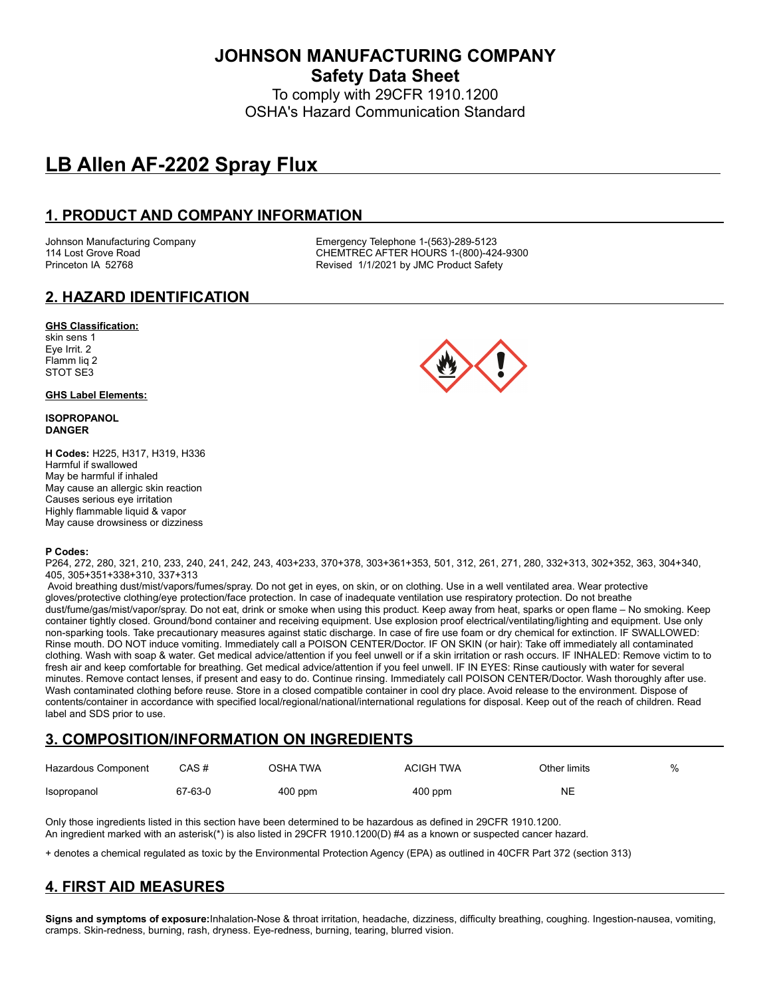**JOHNSON MANUFACTURING COMPANY Safety Data Sheet**

To comply with 29CFR 1910.1200 OSHA's Hazard Communication Standard

# **LB Allen AF-2202 Spray Flux**

## **1. PRODUCT AND COMPANY INFORMATION**

Johnson Manufacturing Company **Emergency Telephone 1-(563)-289-5123**<br>114 Lost Grove Road **COMPAN COMPANE CONTREC AFTER HOURS** 1-(800)-42  $CHEMTREC$  AFTER HOURS 1-(800)-424-9300 Princeton IA 52768 **Revised 1/1/2021 by JMC Product Safety** 

# **2. HAZARD IDENTIFICATION**

## **GHS Classification:**

skin sens 1 Eye Irrit. 2 Flamm liq 2 STOT SE3

## **GHS Label Elements:**

#### **ISOPROPANOL DANGER**

**H Codes:** H225, H317, H319, H336 Harmful if swallowed May be harmful if inhaled May cause an allergic skin reaction Causes serious eye irritation Highly flammable liquid & vapor May cause drowsiness or dizziness



#### **P Codes:**

P264, 272, 280, 321, 210, 233, 240, 241, 242, 243, 403+233, 370+378, 303+361+353, 501, 312, 261, 271, 280, 332+313, 302+352, 363, 304+340, 405, 305+351+338+310, 337+313

 Avoid breathing dust/mist/vapors/fumes/spray. Do not get in eyes, on skin, or on clothing. Use in a well ventilated area. Wear protective gloves/protective clothing/eye protection/face protection. In case of inadequate ventilation use respiratory protection. Do not breathe dust/fume/gas/mist/vapor/spray. Do not eat, drink or smoke when using this product. Keep away from heat, sparks or open flame – No smoking. Keep container tightly closed. Ground/bond container and receiving equipment. Use explosion proof electrical/ventilating/lighting and equipment. Use only non-sparking tools. Take precautionary measures against static discharge. In case of fire use foam or dry chemical for extinction. IF SWALLOWED: Rinse mouth. DO NOT induce vomiting. Immediately call a POISON CENTER/Doctor. IF ON SKIN (or hair): Take off immediately all contaminated clothing. Wash with soap & water. Get medical advice/attention if you feel unwell or if a skin irritation or rash occurs. IF INHALED: Remove victim to to fresh air and keep comfortable for breathing. Get medical advice/attention if you feel unwell. IF IN EYES: Rinse cautiously with water for several minutes. Remove contact lenses, if present and easy to do. Continue rinsing. Immediately call POISON CENTER/Doctor. Wash thoroughly after use. Wash contaminated clothing before reuse. Store in a closed compatible container in cool dry place. Avoid release to the environment. Dispose of contents/container in accordance with specified local/regional/national/international regulations for disposal. Keep out of the reach of children. Read label and SDS prior to use.

# **3. COMPOSITION/INFORMATION ON INGREDIENTS**

| Hazardous Component | CAS #   | OSHA TWA  | <b>ACIGH TWA</b> | Other limits | $\%$ |
|---------------------|---------|-----------|------------------|--------------|------|
| Isopropanol         | 67-63-0 | $400$ ppm | $400$ ppm        | NE           |      |

Only those ingredients listed in this section have been determined to be hazardous as defined in 29CFR 1910.1200. An ingredient marked with an asterisk(\*) is also listed in 29CFR 1910.1200(D) #4 as a known or suspected cancer hazard.

+ denotes a chemical regulated as toxic by the Environmental Protection Agency (EPA) as outlined in 40CFR Part 372 (section 313)

# **4. FIRST AID MEASURES**

**Signs and symptoms of exposure:**Inhalation-Nose & throat irritation, headache, dizziness, difficulty breathing, coughing. Ingestion-nausea, vomiting, cramps. Skin-redness, burning, rash, dryness. Eye-redness, burning, tearing, blurred vision.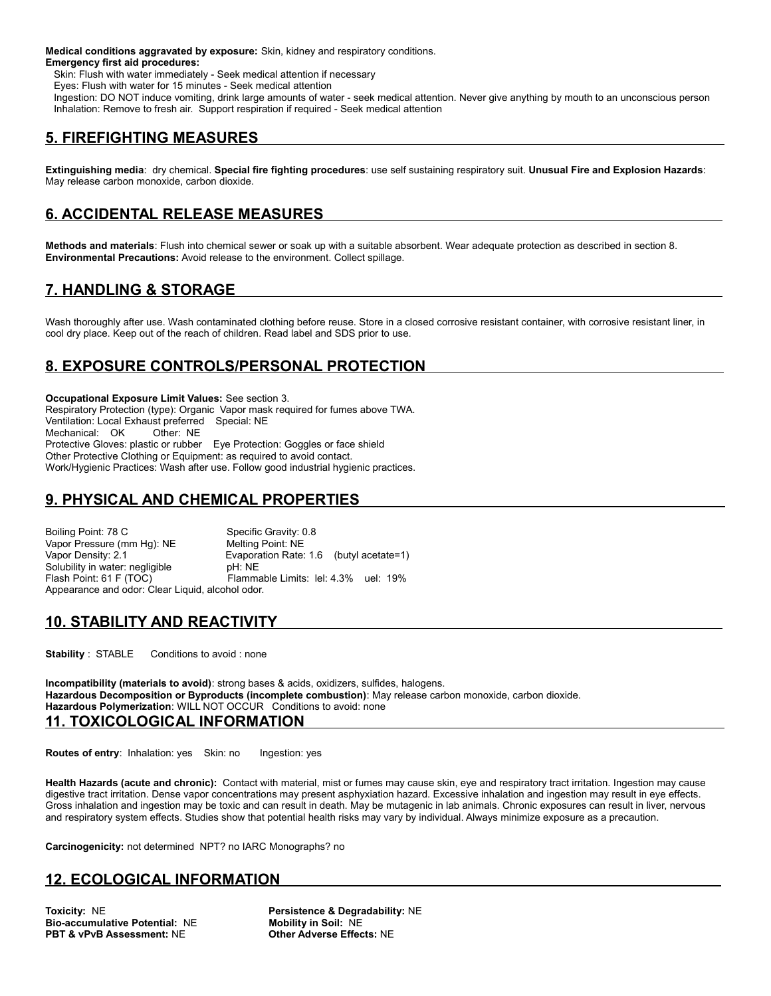**Medical conditions aggravated by exposure:** Skin, kidney and respiratory conditions. **Emergency first aid procedures:**

Skin: Flush with water immediately - Seek medical attention if necessary

Eyes: Flush with water for 15 minutes - Seek medical attention

 Ingestion: DO NOT induce vomiting, drink large amounts of water - seek medical attention. Never give anything by mouth to an unconscious person Inhalation: Remove to fresh air. Support respiration if required - Seek medical attention

# **5. FIREFIGHTING MEASURES**

**Extinguishing media**: dry chemical. **Special fire fighting procedures**: use self sustaining respiratory suit. **Unusual Fire and Explosion Hazards**: May release carbon monoxide, carbon dioxide.

# **6. ACCIDENTAL RELEASE MEASURES**

**Methods and materials**: Flush into chemical sewer or soak up with a suitable absorbent. Wear adequate protection as described in section 8. **Environmental Precautions:** Avoid release to the environment. Collect spillage.

# **7. HANDLING & STORAGE**

Wash thoroughly after use. Wash contaminated clothing before reuse. Store in a closed corrosive resistant container, with corrosive resistant liner, in cool dry place. Keep out of the reach of children. Read label and SDS prior to use.

# **8. EXPOSURE CONTROLS/PERSONAL PROTECTION**

**Occupational Exposure Limit Values:** See section 3. Respiratory Protection (type): Organic Vapor mask required for fumes above TWA. Ventilation: Local Exhaust preferred Special: NE Mechanical: OK Other: NE Protective Gloves: plastic or rubber Eye Protection: Goggles or face shield Other Protective Clothing or Equipment: as required to avoid contact. Work/Hygienic Practices: Wash after use. Follow good industrial hygienic practices.

# **9. PHYSICAL AND CHEMICAL PROPERTIES**

Boiling Point: 78 C Specific Gravity: 0.8 Vapor Pressure (mm Hg): NE Melting Point: NE<br>Vapor Density: 2.1 Mexicon Bate: Evaporation Rate: 1.6 (butyl acetate=1) Solubility in water: negligible pH: NE<br>
Flash Point: 61 F (TOC) Flamma Flammable Limits: lel: 4.3% uel: 19% Appearance and odor: Clear Liquid, alcohol odor.

# **10. STABILITY AND REACTIVITY**

**Stability** : STABLE Conditions to avoid : none

**Incompatibility (materials to avoid)**: strong bases & acids, oxidizers, sulfides, halogens. **Hazardous Decomposition or Byproducts (incomplete combustion)**: May release carbon monoxide, carbon dioxide. **Hazardous Polymerization**: WILL NOT OCCUR Conditions to avoid: none **11. TOXICOLOGICAL INFORMATION** 

**Routes of entry:** Inhalation: yes Skin: no Ingestion: yes

**Health Hazards (acute and chronic):** Contact with material, mist or fumes may cause skin, eye and respiratory tract irritation. Ingestion may cause digestive tract irritation. Dense vapor concentrations may present asphyxiation hazard. Excessive inhalation and ingestion may result in eye effects. Gross inhalation and ingestion may be toxic and can result in death. May be mutagenic in lab animals. Chronic exposures can result in liver, nervous and respiratory system effects. Studies show that potential health risks may vary by individual. Always minimize exposure as a precaution.

**Carcinogenicity:** not determined NPT? no IARC Monographs? no

# **12. ECOLOGICAL INFORMATION**

**Bio-accumulative Potential: NE PBT & vPvB Assessment:** NE **Other Adverse Effects:** NE

**Toxicity: NE**<br> **Bio-accumulative Potential: NE**<br> **Persistence & Degradability: NE**<br> **Mobility in Soil: NE**